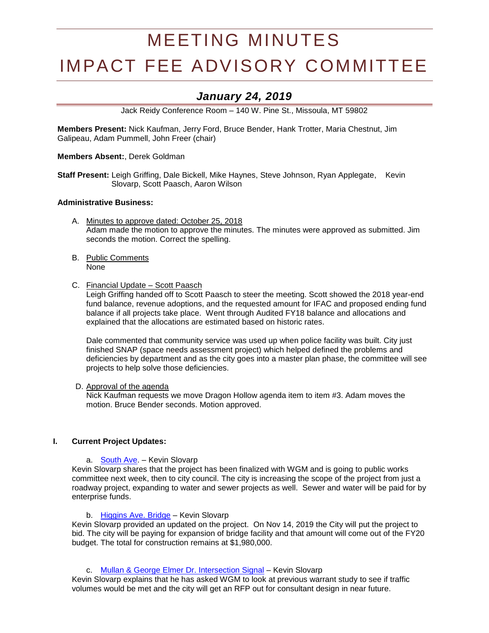# MEETING MINUTES

# IMPACT FEE ADVISORY COMMITTEE

# *January 24, 2019*

Jack Reidy Conference Room – 140 W. Pine St., Missoula, MT 59802

**Members Present:** Nick Kaufman, Jerry Ford, Bruce Bender, Hank Trotter, Maria Chestnut, Jim Galipeau, Adam Pummell, John Freer (chair)

**Members Absent:**, Derek Goldman

**Staff Present:** Leigh Griffing, Dale Bickell, Mike Haynes, Steve Johnson, Ryan Applegate, Kevin Slovarp, Scott Paasch, Aaron Wilson

#### **Administrative Business:**

- A. Minutes to approve dated: October 25, 2018 Adam made the motion to approve the minutes. The minutes were approved as submitted. Jim seconds the motion. Correct the spelling.
- B. Public Comments None
- C. Financial Update Scott Paasch

Leigh Griffing handed off to Scott Paasch to steer the meeting. Scott showed the 2018 year-end fund balance, revenue adoptions, and the requested amount for IFAC and proposed ending fund balance if all projects take place. Went through Audited FY18 balance and allocations and explained that the allocations are estimated based on historic rates.

Dale commented that community service was used up when police facility was built. City just finished SNAP (space needs assessment project) which helped defined the problems and deficiencies by department and as the city goes into a master plan phase, the committee will see projects to help solve those deficiencies.

# D. Approval of the agenda

Nick Kaufman requests we move Dragon Hollow agenda item to item #3. Adam moves the motion. Bruce Bender seconds. Motion approved.

#### **I. Current Project Updates:**

a. [South Ave.](https://www.ci.missoula.mt.us/DocumentCenter/View/39239) – Kevin Slovarp

Kevin Slovarp shares that the project has been finalized with WGM and is going to public works committee next week, then to city council. The city is increasing the scope of the project from just a roadway project, expanding to water and sewer projects as well. Sewer and water will be paid for by enterprise funds.

#### b. [Higgins Ave. Bridge](https://www.ci.missoula.mt.us/DocumentCenter/View/33695) – Kevin Slovarp

Kevin Slovarp provided an updated on the project. On Nov 14, 2019 the City will put the project to bid. The city will be paying for expansion of bridge facility and that amount will come out of the FY20 budget. The total for construction remains at \$1,980,000.

c. [Mullan & George Elmer Dr. Intersection Signal](https://www.ci.missoula.mt.us/DocumentCenter/View/39234) - Kevin Slovarp

Kevin Slovarp explains that he has asked WGM to look at previous warrant study to see if traffic volumes would be met and the city will get an RFP out for consultant design in near future.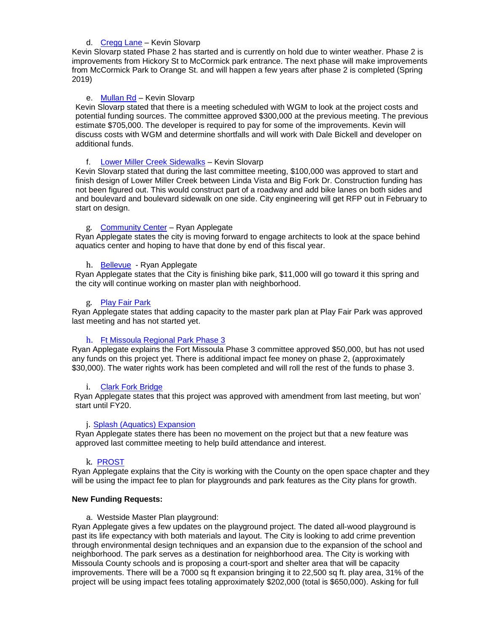#### d. [Cregg](https://www.ci.missoula.mt.us/DocumentCenter/View/41366) Lane – Kevin Slovarp

Kevin Slovarp stated Phase 2 has started and is currently on hold due to winter weather. Phase 2 is improvements from Hickory St to McCormick park entrance. The next phase will make improvements from McCormick Park to Orange St. and will happen a few years after phase 2 is completed (Spring 2019)

# e. [Mullan Rd](https://www.ci.missoula.mt.us/DocumentCenter/View/46585/DS---Mullan-Rd-Reconstruction) – Kevin Slovarp

Kevin Slovarp stated that there is a meeting scheduled with WGM to look at the project costs and potential funding sources. The committee approved \$300,000 at the previous meeting. The previous estimate \$705,000. The developer is required to pay for some of the improvements. Kevin will discuss costs with WGM and determine shortfalls and will work with Dale Bickell and developer on additional funds.

# f. [Lower Miller Creek Sidewalks](https://www.ci.missoula.mt.us/DocumentCenter/View/46584/DS---Lower-Miller-Creek-Road-LVB-to-Bigfork) – Kevin Slovarp

Kevin Slovarp stated that during the last committee meeting, \$100,000 was approved to start and finish design of Lower Miller Creek between Linda Vista and Big Fork Dr. Construction funding has not been figured out. This would construct part of a roadway and add bike lanes on both sides and and boulevard and boulevard sidewalk on one side. City engineering will get RFP out in February to start on design.

# g. [Community Center](https://www.ci.missoula.mt.us/DocumentCenter/View/33701) – Ryan Applegate

Ryan Applegate states the city is moving forward to engage architects to look at the space behind aquatics center and hoping to have that done by end of this fiscal year.

# h. [Bellevue](http://mt-missoula2.civicplus.com/DocumentCenter/View/32600/2015-Impact-Fee-Funding-Parks-and-Trails-Playgrounds?bidId=) - Ryan Applegate

Ryan Applegate states that the City is finishing bike park, \$11,000 will go toward it this spring and the city will continue working on master plan with neighborhood.

# g. [Play Fair Park](file:///C:/Users/dehavenl/AppData/Roaming/Microsoft/Word/Playfair%20park)

Ryan Applegate states that adding capacity to the master park plan at Play Fair Park was approved last meeting and has not started yet.

#### h. [Ft Missoula Regional Park Phase 3](https://www.ci.missoula.mt.us/DocumentCenter/View/46587/PandR---Ft-Msla-Regional-Park-Phase-3)

Ryan Applegate explains the Fort Missoula Phase 3 committee approved \$50,000, but has not used any funds on this project yet. There is additional impact fee money on phase 2, (approximately \$30,000). The water rights work has been completed and will roll the rest of the funds to phase 3.

#### i. [Clark Fork Bridge](https://www.ci.missoula.mt.us/DocumentCenter/View/46589/PandR---Clark-Fork-Bridge-West)

Ryan Applegate states that this project was approved with amendment from last meeting, but won' start until FY20.

#### j. [Splash \(Aquatics\) Expansion](https://www.ci.missoula.mt.us/DocumentCenter/View/46586/Pand-R---Aquatics-Revenue-Generation)

Ryan Applegate states there has been no movement on the project but that a new feature was approved last committee meeting to help build attendance and interest.

#### k. [PROST](https://www.ci.missoula.mt.us/DocumentCenter/View/46592/PandR---PROST-Plan)

Ryan Applegate explains that the City is working with the County on the open space chapter and they will be using the impact fee to plan for playgrounds and park features as the City plans for growth.

#### **New Funding Requests:**

#### a. Westside Master Plan playground:

Ryan Applegate gives a few updates on the playground project. The dated all-wood playground is past its life expectancy with both materials and layout. The City is looking to add crime prevention through environmental design techniques and an expansion due to the expansion of the school and neighborhood. The park serves as a destination for neighborhood area. The City is working with Missoula County schools and is proposing a court-sport and shelter area that will be capacity improvements. There will be a 7000 sq ft expansion bringing it to 22,500 sq ft. play area, 31% of the project will be using impact fees totaling approximately \$202,000 (total is \$650,000). Asking for full